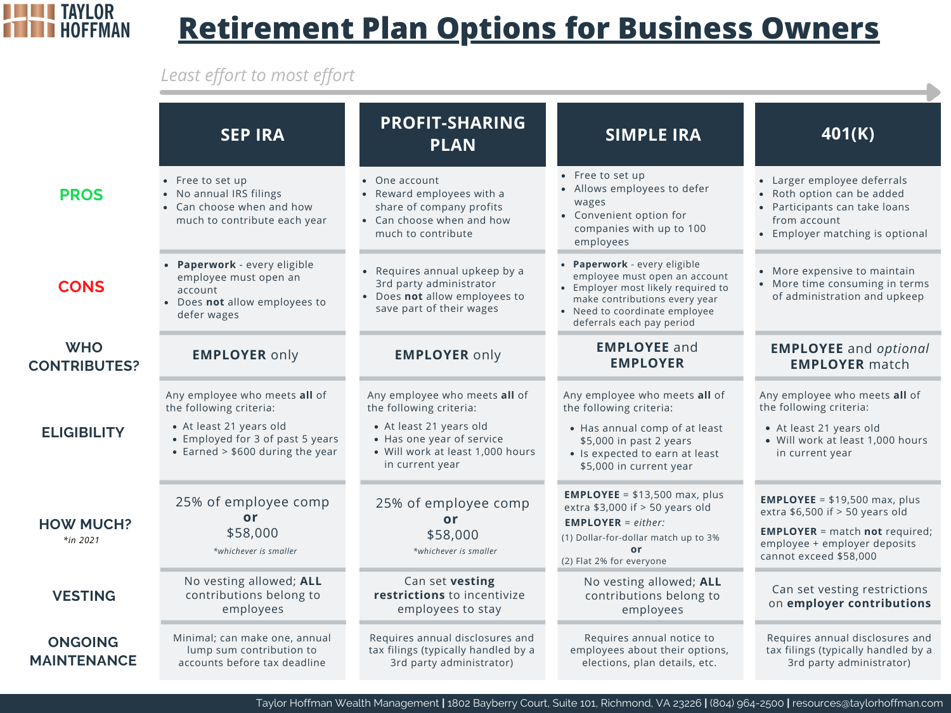## **THE TAYLOR<br>THE HOFFMAN**

## **Retirement Plan Options for Business Owners**

#### *Least effort to most effort*

|                                      | <b>SEP IRA</b>                                                                                                   | <b>PROFIT-SHARING</b><br><b>PLAN</b>                                                                                               | <b>SIMPLE IRA</b>                                                                                                                                                                                  | 401(K)                                                                                                                                                                      |
|--------------------------------------|------------------------------------------------------------------------------------------------------------------|------------------------------------------------------------------------------------------------------------------------------------|----------------------------------------------------------------------------------------------------------------------------------------------------------------------------------------------------|-----------------------------------------------------------------------------------------------------------------------------------------------------------------------------|
| <b>PROS</b>                          | • Free to set up<br>• No annual IRS filings<br>• Can choose when and how<br>much to contribute each year         | One account<br>Reward employees with a<br>$\bullet$<br>share of company profits<br>• Can choose when and how<br>much to contribute | • Free to set up<br>• Allows employees to defer<br>wages<br>• Convenient option for<br>companies with up to 100<br>employees                                                                       | • Larger employee deferrals<br>• Roth option can be added<br>• Participants can take loans<br>from account<br>• Employer matching is optional                               |
| <b>CONS</b>                          | • Paperwork - every eligible<br>employee must open an<br>account<br>• Does not allow employees to<br>defer wages | • Requires annual upkeep by a<br>3rd party administrator<br>• Does not allow employees to<br>save part of their wages              | • Paperwork - every eligible<br>employee must open an account<br>• Employer most likely required to<br>make contributions every year<br>• Need to coordinate employee<br>deferrals each pay period | • More expensive to maintain<br>More time consuming in terms<br>of administration and upkeep                                                                                |
| <b>WHO</b><br><b>CONTRIBUTES?</b>    | <b>EMPLOYER only</b>                                                                                             | <b>EMPLOYER only</b>                                                                                                               | <b>EMPLOYEE</b> and<br><b>EMPLOYER</b>                                                                                                                                                             | <b>EMPLOYEE</b> and optional<br><b>EMPLOYER</b> match                                                                                                                       |
|                                      | Any employee who meets all of<br>the following criteria:                                                         | Any employee who meets all of<br>the following criteria:                                                                           | Any employee who meets all of<br>the following criteria:                                                                                                                                           | Any employee who meets all of<br>the following criteria:                                                                                                                    |
| <b>ELIGIBILITY</b>                   | • At least 21 years old<br>• Employed for 3 of past 5 years<br>• Earned > \$600 during the year                  | • At least 21 years old<br>• Has one year of service<br>· Will work at least 1,000 hours<br>in current year                        | • Has annual comp of at least<br>\$5,000 in past 2 years<br>• Is expected to earn at least<br>\$5,000 in current year                                                                              | • At least 21 years old<br>· Will work at least 1,000 hours<br>in current year                                                                                              |
| <b>HOW MUCH?</b><br>$*in 2021$       | 25% of employee comp<br>or<br>\$58,000<br>*whichever is smaller                                                  | 25% of employee comp<br>or<br>\$58,000<br>*whichever is smaller                                                                    | <b>EMPLOYEE</b> = $$13,500$ max, plus<br>extra \$3,000 if > 50 years old<br><b>EMPLOYER</b> = $either$ :<br>(1) Dollar-for-dollar match up to 3%<br>or<br>(2) Flat 2% for everyone                 | <b>EMPLOYEE</b> = $$19,500$ max, plus<br>extra \$6,500 if > 50 years old<br><b>EMPLOYER</b> = match not required;<br>employee + employer deposits<br>cannot exceed \$58,000 |
| <b>VESTING</b>                       | No vesting allowed; ALL<br>contributions belong to<br>employees                                                  | Can set vesting<br>restrictions to incentivize<br>employees to stay                                                                | No vesting allowed; ALL<br>contributions belong to<br>employees                                                                                                                                    | Can set vesting restrictions<br>on employer contributions                                                                                                                   |
| <b>ONGOING</b><br><b>MAINTENANCE</b> | Minimal; can make one, annual<br>lump sum contribution to<br>accounts before tax deadline                        | Requires annual disclosures and<br>tax filings (typically handled by a<br>3rd party administrator)                                 | Requires annual notice to<br>employees about their options,<br>elections, plan details, etc.                                                                                                       | Requires annual disclosures and<br>tax filings (typically handled by a<br>3rd party administrator)                                                                          |

Taylor Hoffman Wealth Management **|** 1802 Bayberry Court, Suite 101, Richmond, VA 23226 **|** (804) 964-2500 **|** resources@taylorhoffman.com